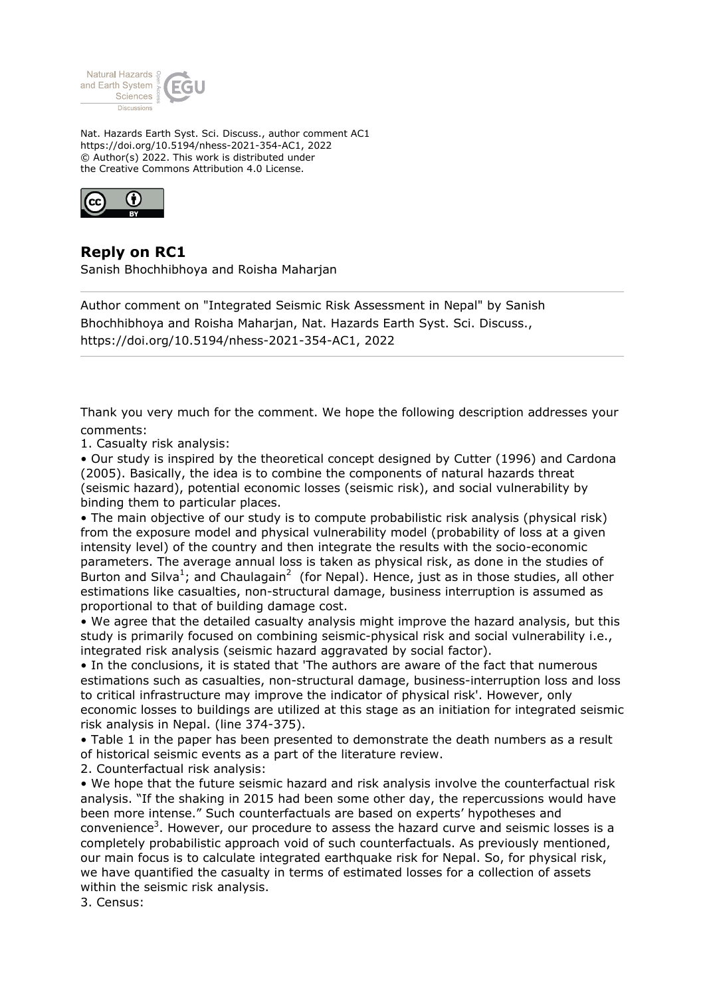

Nat. Hazards Earth Syst. Sci. Discuss., author comment AC1 https://doi.org/10.5194/nhess-2021-354-AC1, 2022 © Author(s) 2022. This work is distributed under the Creative Commons Attribution 4.0 License.



## **Reply on RC1**

Sanish Bhochhibhoya and Roisha Maharjan

Author comment on "Integrated Seismic Risk Assessment in Nepal" by Sanish Bhochhibhoya and Roisha Maharjan, Nat. Hazards Earth Syst. Sci. Discuss., https://doi.org/10.5194/nhess-2021-354-AC1, 2022

Thank you very much for the comment. We hope the following description addresses your comments:

1. Casualty risk analysis:

• Our study is inspired by the theoretical concept designed by Cutter (1996) and Cardona (2005). Basically, the idea is to combine the components of natural hazards threat (seismic hazard), potential economic losses (seismic risk), and social vulnerability by binding them to particular places.

• The main objective of our study is to compute probabilistic risk analysis (physical risk) from the exposure model and physical vulnerability model (probability of loss at a given intensity level) of the country and then integrate the results with the socio-economic parameters. The average annual loss is taken as physical risk, as done in the studies of Burton and Silva<sup>1</sup>; and Chaulagain<sup>2</sup> (for Nepal). Hence, just as in those studies, all other estimations like casualties, non-structural damage, business interruption is assumed as proportional to that of building damage cost.

• We agree that the detailed casualty analysis might improve the hazard analysis, but this study is primarily focused on combining seismic-physical risk and social vulnerability i.e., integrated risk analysis (seismic hazard aggravated by social factor).

• In the conclusions, it is stated that 'The authors are aware of the fact that numerous estimations such as casualties, non-structural damage, business-interruption loss and loss to critical infrastructure may improve the indicator of physical risk'. However, only economic losses to buildings are utilized at this stage as an initiation for integrated seismic risk analysis in Nepal. (line 374-375).

• Table 1 in the paper has been presented to demonstrate the death numbers as a result of historical seismic events as a part of the literature review.

2. Counterfactual risk analysis:

• We hope that the future seismic hazard and risk analysis involve the counterfactual risk analysis. "If the shaking in 2015 had been some other day, the repercussions would have been more intense." Such counterfactuals are based on experts' hypotheses and convenience<sup>3</sup>. However, our procedure to assess the hazard curve and seismic losses is a completely probabilistic approach void of such counterfactuals. As previously mentioned, our main focus is to calculate integrated earthquake risk for Nepal. So, for physical risk, we have quantified the casualty in terms of estimated losses for a collection of assets within the seismic risk analysis.

3. Census: